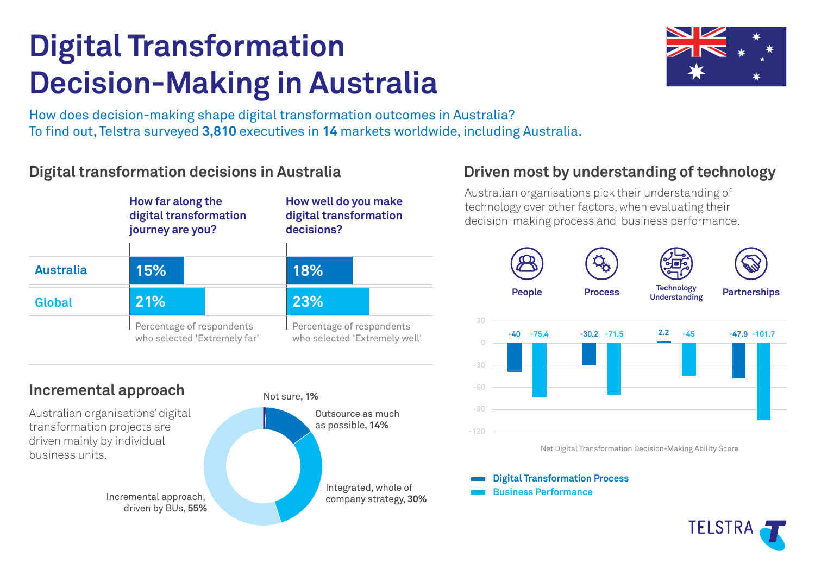# **Digital Transformation Decision-Making in Australia**



How does decision-making shape digital transformation outcomes in Australia? To find out, Telstra surveyed 3,810 executives in 14 markets worldwide, including Australia.

# **Digital transformation decisions in Australia**



## **Incremental approach**

Australian organisations' digital transformation projects are driven mainly by individual business units.

driven by BUs, **55%**





# **Driven most by understanding of technology**

Australian organisations pick their understanding of technology over other factors, when evaluating their decision-making process and business performance.



**Digital Transformation Process**

**Business Performance**